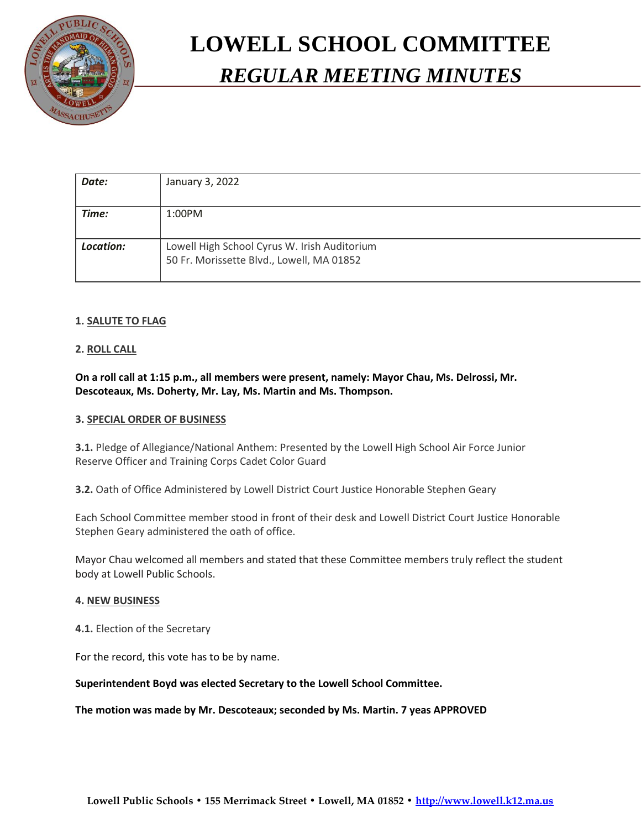

# **LOWELL SCHOOL COMMITTEE** *REGULAR MEETING MINUTES*

| Date:     | January 3, 2022                                                                           |
|-----------|-------------------------------------------------------------------------------------------|
| Time:     | 1:00PM                                                                                    |
| Location: | Lowell High School Cyrus W. Irish Auditorium<br>50 Fr. Morissette Blvd., Lowell, MA 01852 |

# **1. SALUTE TO FLAG**

# **2. ROLL CALL**

**On a roll call at 1:15 p.m., all members were present, namely: Mayor Chau, Ms. Delrossi, Mr. Descoteaux, Ms. Doherty, Mr. Lay, Ms. Martin and Ms. Thompson.**

### **3. SPECIAL ORDER OF BUSINESS**

**3.1.** Pledge of Allegiance/National Anthem: Presented by the Lowell High School Air Force Junior Reserve Officer and Training Corps Cadet Color Guard

**3.2.** Oath of Office Administered by Lowell District Court Justice Honorable Stephen Geary

Each School Committee member stood in front of their desk and Lowell District Court Justice Honorable Stephen Geary administered the oath of office.

Mayor Chau welcomed all members and stated that these Committee members truly reflect the student body at Lowell Public Schools.

#### **4. NEW BUSINESS**

**4.1.** Election of the Secretary

For the record, this vote has to be by name.

**Superintendent Boyd was elected Secretary to the Lowell School Committee.** 

**The motion was made by Mr. Descoteaux; seconded by Ms. Martin. 7 yeas APPROVED**